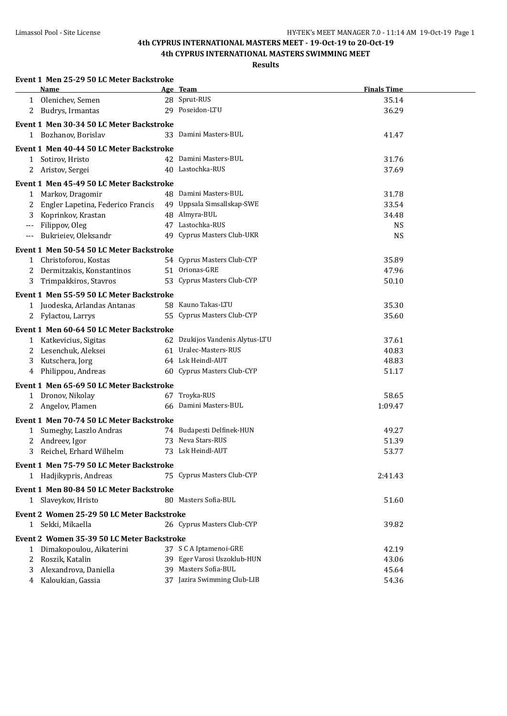# **4th CYPRUS INTERNATIONAL MASTERS MEET - 19-Oct-19 to 20-Oct-19**

## **4th CYPRUS INTERNATIONAL MASTERS SWIMMING MEET**

| Event 1 Men 25-29 50 LC Meter Backstroke |
|------------------------------------------|
|------------------------------------------|

|                      | Name                                       | Age Team                                              | <b>Finals Time</b> |  |
|----------------------|--------------------------------------------|-------------------------------------------------------|--------------------|--|
|                      | 1 Olenichev, Semen                         | 28 Sprut-RUS                                          | 35.14              |  |
| 2                    | Budrys, Irmantas                           | 29 Poseidon-LTU                                       | 36.29              |  |
|                      | Event 1 Men 30-34 50 LC Meter Backstroke   |                                                       |                    |  |
|                      | 1 Bozhanov, Borislav                       | 33 Damini Masters-BUL                                 | 41.47              |  |
|                      |                                            |                                                       |                    |  |
|                      | Event 1 Men 40-44 50 LC Meter Backstroke   |                                                       |                    |  |
|                      | 1 Sotirov, Hristo                          | 42 Damini Masters-BUL<br>40 Lastochka-RUS             | 31.76              |  |
| 2                    | Aristov, Sergei                            |                                                       | 37.69              |  |
|                      | Event 1 Men 45-49 50 LC Meter Backstroke   |                                                       |                    |  |
| 1                    | Markov, Dragomir                           | 48 Damini Masters-BUL                                 | 31.78              |  |
| 2                    | Engler Lapetina, Federico Francis          | 49 Uppsala Simsallskap-SWE                            | 33.54              |  |
| 3                    | Koprinkov, Krastan                         | 48 Almyra-BUL                                         | 34.48              |  |
| ---                  | Filippov, Oleg                             | 47 Lastochka-RUS                                      | <b>NS</b>          |  |
| $\scriptstyle\cdots$ | Bukrieiev, Oleksandr                       | 49 Cyprus Masters Club-UKR                            | <b>NS</b>          |  |
|                      | Event 1 Men 50-54 50 LC Meter Backstroke   |                                                       |                    |  |
|                      | 1 Christoforou, Kostas                     | 54 Cyprus Masters Club-CYP                            | 35.89              |  |
| 2                    | Dermitzakis, Konstantinos                  | 51 Orionas-GRE                                        | 47.96              |  |
| 3                    | Trimpakkiros, Stavros                      | 53 Cyprus Masters Club-CYP                            | 50.10              |  |
|                      | Event 1 Men 55-59 50 LC Meter Backstroke   |                                                       |                    |  |
|                      | 1 Juodeska, Arlandas Antanas               | 58 Kauno Takas-LTU                                    | 35.30              |  |
| 2                    | Fylactou, Larrys                           | 55 Cyprus Masters Club-CYP                            | 35.60              |  |
|                      | Event 1 Men 60-64 50 LC Meter Backstroke   |                                                       |                    |  |
|                      | 1 Katkevicius, Sigitas                     | 62 Dzukijos Vandenis Alytus-LTU                       | 37.61              |  |
| 2                    | Lesenchuk, Aleksei                         | 61 Uralec-Masters-RUS                                 | 40.83              |  |
| 3                    | Kutschera, Jorg                            | 64 Lsk Heindl-AUT                                     | 48.83              |  |
| 4                    | Philippou, Andreas                         | 60 Cyprus Masters Club-CYP                            | 51.17              |  |
|                      |                                            |                                                       |                    |  |
|                      | Event 1 Men 65-69 50 LC Meter Backstroke   | 67 Troyka-RUS                                         |                    |  |
|                      | 1 Dronov, Nikolay<br>2 Angelov, Plamen     | 66 Damini Masters-BUL                                 | 58.65<br>1:09.47   |  |
|                      |                                            |                                                       |                    |  |
|                      | Event 1 Men 70-74 50 LC Meter Backstroke   |                                                       |                    |  |
|                      | 1 Sumeghy, Laszlo Andras                   | 74 Budapesti Delfinek-HUN                             | 49.27              |  |
|                      | 2 Andreev, Igor                            | 73 Neva Stars-RUS                                     | 51.39              |  |
| 3                    | Reichel, Erhard Wilhelm                    | 73 Lsk Heindl-AUT                                     | 53.77              |  |
|                      | Event 1 Men 75-79 50 LC Meter Backstroke   |                                                       |                    |  |
|                      | 1 Hadjikypris, Andreas                     | 75 Cyprus Masters Club-CYP                            | 2:41.43            |  |
|                      | Event 1 Men 80-84 50 LC Meter Backstroke   |                                                       |                    |  |
|                      | 1 Slaveykov, Hristo                        | 80 Masters Sofia-BUL                                  | 51.60              |  |
|                      | Event 2 Women 25-29 50 LC Meter Backstroke |                                                       |                    |  |
|                      | 1 Sekki, Mikaella                          | 26 Cyprus Masters Club-CYP                            | 39.82              |  |
|                      |                                            |                                                       |                    |  |
|                      | Event 2 Women 35-39 50 LC Meter Backstroke |                                                       |                    |  |
| 1                    | Dimakopoulou, Aikaterini                   | 37 S C A Iptamenoi-GRE<br>39 Eger Varosi Uszoklub-HUN | 42.19              |  |
| 2                    | Roszik, Katalin<br>Alexandrova, Daniella   | 39 Masters Sofia-BUL                                  | 43.06<br>45.64     |  |
| 3<br>4               | Kaloukian, Gassia                          | 37 Jazira Swimming Club-LIB                           | 54.36              |  |
|                      |                                            |                                                       |                    |  |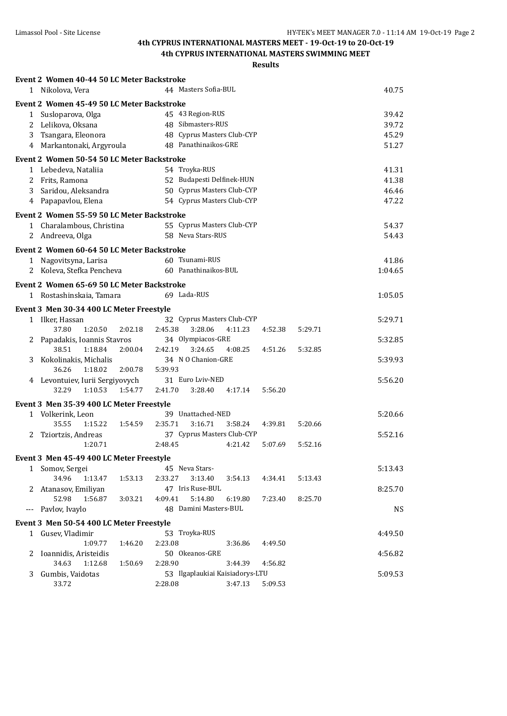| 1   | Event 2 Women 40-44 50 LC Meter Backstroke<br>Nikolova, Vera |                    | 44 Masters Sofia-BUL            |         |         |         | 40.75     |
|-----|--------------------------------------------------------------|--------------------|---------------------------------|---------|---------|---------|-----------|
|     | Event 2 Women 45-49 50 LC Meter Backstroke                   |                    |                                 |         |         |         |           |
|     | 1 Susloparova, Olga                                          |                    | 45 43 Region-RUS                |         |         |         | 39.42     |
|     | 2 Lelikova, Oksana                                           |                    | 48 Sibmasters-RUS               |         |         |         | 39.72     |
| 3   | Tsangara, Eleonora                                           |                    | 48 Cyprus Masters Club-CYP      |         |         |         | 45.29     |
|     | 4 Markantonaki, Argyroula                                    |                    | 48 Panathinaikos-GRE            |         |         |         | 51.27     |
|     |                                                              |                    |                                 |         |         |         |           |
|     | Event 2 Women 50-54 50 LC Meter Backstroke                   |                    |                                 |         |         |         |           |
|     | 1 Lebedeva, Nataliia                                         |                    | 54 Troyka-RUS                   |         |         |         | 41.31     |
|     | 2 Frits, Ramona                                              |                    | 52 Budapesti Delfinek-HUN       |         |         |         | 41.38     |
|     | 3 Saridou, Aleksandra                                        |                    | 50 Cyprus Masters Club-CYP      |         |         |         | 46.46     |
| 4   | Papapavlou, Elena                                            |                    | 54 Cyprus Masters Club-CYP      |         |         |         | 47.22     |
|     | Event 2 Women 55-59 50 LC Meter Backstroke                   |                    |                                 |         |         |         |           |
|     | 1 Charalambous, Christina                                    |                    | 55 Cyprus Masters Club-CYP      |         |         |         | 54.37     |
|     | 2 Andreeva, Olga                                             |                    | 58 Neva Stars-RUS               |         |         |         | 54.43     |
|     | Event 2 Women 60-64 50 LC Meter Backstroke                   |                    |                                 |         |         |         |           |
|     |                                                              |                    |                                 |         |         |         |           |
|     | 1 Nagovitsyna, Larisa                                        |                    | 60 Tsunami-RUS                  |         |         |         | 41.86     |
|     | 2 Koleva, Stefka Pencheva                                    |                    | 60 Panathinaikos-BUL            |         |         |         | 1:04.65   |
|     | Event 2 Women 65-69 50 LC Meter Backstroke                   |                    |                                 |         |         |         |           |
|     | 1 Rostashinskaia, Tamara                                     |                    | 69 Lada-RUS                     |         |         |         | 1:05.05   |
|     | Event 3 Men 30-34 400 LC Meter Freestyle                     |                    |                                 |         |         |         |           |
|     | 1 Ilker, Hassan                                              |                    | 32 Cyprus Masters Club-CYP      |         |         |         | 5:29.71   |
|     | 37.80<br>1:20.50                                             | 2:02.18<br>2:45.38 | 3:28.06                         | 4:11.23 | 4:52.38 | 5:29.71 |           |
| 2   | Papadakis, Ioannis Stavros                                   |                    | 34 Olympiacos-GRE               |         |         |         | 5:32.85   |
|     | 38.51<br>1:18.84                                             | 2:00.04<br>2:42.19 | 3:24.65                         | 4:08.25 | 4:51.26 | 5:32.85 |           |
| 3   | Kokolinakis, Michalis                                        |                    | 34 N O Chanion-GRE              |         |         |         | 5:39.93   |
|     | 36.26<br>1:18.02                                             | 2:00.78<br>5:39.93 |                                 |         |         |         |           |
| 4   | Levontuiev, Iurii Sergiyovych                                |                    | 31 Euro Lviv-NED                |         |         |         | 5:56.20   |
|     | 32.29<br>1:10.53                                             | 1:54.77<br>2:41.70 | 3:28.40                         | 4:17.14 | 5:56.20 |         |           |
|     |                                                              |                    |                                 |         |         |         |           |
|     | Event 3 Men 35-39 400 LC Meter Freestyle                     |                    |                                 |         |         |         |           |
|     | 1 Volkerink, Leon                                            |                    | 39 Unattached-NED               |         |         |         | 5:20.66   |
|     | 35.55<br>1:15.22                                             | 2:35.71<br>1:54.59 | 3:16.71                         | 3:58.24 | 4:39.81 | 5:20.66 |           |
| 2   | Tziortzis, Andreas                                           |                    | 37 Cyprus Masters Club-CYP      |         |         |         | 5:52.16   |
|     | 1:20.71                                                      | 2:48.45            |                                 | 4:21.42 | 5:07.69 | 5:52.16 |           |
|     | Event 3 Men 45-49 400 LC Meter Freestyle                     |                    |                                 |         |         |         |           |
|     | 1 Somov, Sergei                                              |                    | 45 Neva Stars-                  |         |         |         | 5:13.43   |
|     | 34.96<br>1:13.47                                             | 1:53.13<br>2:33.27 | 3:13.40                         | 3:54.13 | 4:34.41 | 5:13.43 |           |
| 2   | Atanasov, Emiliyan                                           |                    | 47 Iris Ruse-BUL                |         |         |         | 8:25.70   |
|     | 52.98<br>1:56.87                                             | 4:09.41<br>3:03.21 | 5:14.80                         | 6:19.80 | 7:23.40 | 8:25.70 |           |
| --- | Pavlov, Ivaylo                                               |                    | 48 Damini Masters-BUL           |         |         |         | <b>NS</b> |
|     | Event 3 Men 50-54 400 LC Meter Freestyle                     |                    |                                 |         |         |         |           |
|     |                                                              |                    | 53 Troyka-RUS                   |         |         |         |           |
|     | 1 Gusev, Vladimir<br>1:09.77                                 |                    |                                 |         |         |         | 4:49.50   |
|     |                                                              | 2:23.08<br>1:46.20 | 50 Okeanos-GRE                  | 3:36.86 | 4:49.50 |         |           |
| 2   | Ioannidis, Aristeidis<br>34.63<br>1:12.68                    |                    |                                 |         |         |         | 4:56.82   |
|     |                                                              | 1:50.69<br>2:28.90 |                                 | 3:44.39 | 4:56.82 |         |           |
| 3   | Gumbis, Vaidotas                                             |                    | 53 Ilgaplaukiai Kaisiadorys-LTU |         |         |         | 5:09.53   |
|     | 33.72                                                        | 2:28.08            |                                 | 3:47.13 | 5:09.53 |         |           |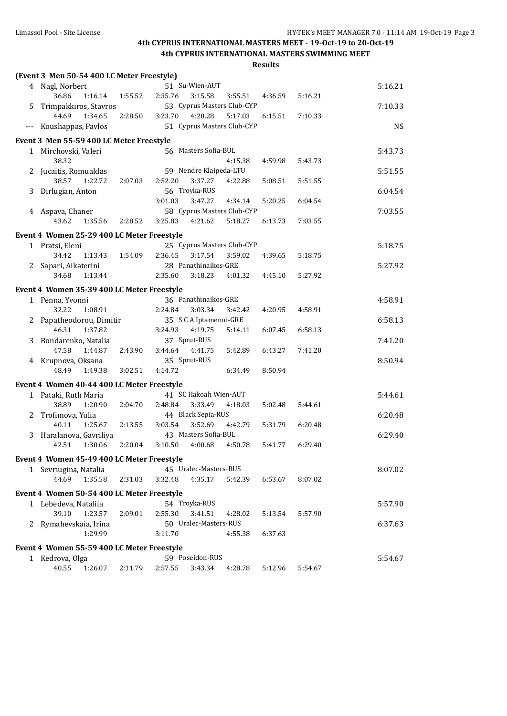|              | (Event 3 Men 50-54 400 LC Meter Freestyle) |         |                                            |         |         |         |           |
|--------------|--------------------------------------------|---------|--------------------------------------------|---------|---------|---------|-----------|
|              | 4 Nagl, Norbert                            |         | 51 Su-Wien-AUT                             |         |         |         | 5:16.21   |
|              | 36.86<br>1:16.14                           | 1:55.52 | 2:35.76<br>3:15.58                         | 3:55.51 | 4:36.59 | 5:16.21 |           |
| 5            | Trimpakkiros, Stavros                      |         | 53 Cyprus Masters Club-CYP                 |         |         |         | 7:10.33   |
|              | 44.69<br>1:34.65                           | 2:28.50 | 3:23.70<br>4:20.28                         | 5:17.03 | 6:15.51 | 7:10.33 |           |
| $---$        | Koushappas, Pavlos                         |         | 51 Cyprus Masters Club-CYP                 |         |         |         | <b>NS</b> |
|              | Event 3 Men 55-59 400 LC Meter Freestyle   |         |                                            |         |         |         |           |
|              | 1 Mirchovski, Valeri                       |         | 56 Masters Sofia-BUL                       |         |         |         | 5:43.73   |
|              | 38.32                                      |         |                                            | 4:15.38 | 4:59.98 | 5:43.73 |           |
| 2            | Jucaitis, Romualdas                        |         | 59 Nendre Klaipeda-LTU                     |         |         |         | 5:51.55   |
|              | 38.57<br>1:22.72                           | 2:07.03 | 2:52.20<br>3:37.27                         | 4:22.88 | 5:08.51 | 5:51.55 |           |
| 3            | Dirlugian, Anton                           |         | 56 Troyka-RUS                              |         |         |         | 6:04.54   |
|              |                                            |         | 3:01.03<br>3:47.27                         | 4:34.14 | 5:20.25 | 6:04.54 |           |
|              | 4 Aspava, Chaner                           |         | 58 Cyprus Masters Club-CYP                 |         |         |         | 7:03.55   |
|              | 43.62<br>1:35.56                           | 2:28.52 | 3:25.83<br>4:21.62                         | 5:18.27 | 6:13.73 | 7:03.55 |           |
|              |                                            |         |                                            |         |         |         |           |
|              | Event 4 Women 25-29 400 LC Meter Freestyle |         | 25 Cyprus Masters Club-CYP                 |         |         |         |           |
|              | 1 Pratsi, Eleni                            |         |                                            |         |         |         | 5:18.75   |
|              | 34.42<br>1:13.43                           | 1:54.09 | 2:36.45<br>3:17.54<br>28 Panathinaikos-GRE | 3:59.02 | 4:39.65 | 5:18.75 |           |
| 2            | Sapari, Aikaterini                         |         | 3:18.23                                    |         |         |         | 5:27.92   |
|              | 34.68<br>1:13.44                           |         | 2:35.60                                    | 4:01.32 | 4:45.10 | 5:27.92 |           |
|              | Event 4 Women 35-39 400 LC Meter Freestyle |         |                                            |         |         |         |           |
|              | 1 Penna, Yvonni                            |         | 36 Panathinaikos-GRE                       |         |         |         | 4:58.91   |
|              | 32.22<br>1:08.91                           |         | 2:24.84<br>3:03.34                         | 3:42.42 | 4:20.95 | 4:58.91 |           |
| 2            | Papatheodorou, Dimitir                     |         | 35 S C A Iptamenoi-GRE                     |         |         |         | 6:58.13   |
|              | 46.31<br>1:37.82                           |         | 3:24.93<br>4:19.75                         | 5:14.11 | 6:07.45 | 6:58.13 |           |
| 3            | Bondarenko, Natalia                        |         | 37 Sprut-RUS                               |         |         |         | 7:41.20   |
|              | 47.58<br>1:44.87                           | 2:43.90 | 3:44.64<br>4:41.75                         | 5:42.89 | 6:43.27 | 7:41.20 |           |
| 4            | Krupnova, Oksana                           |         | 35 Sprut-RUS                               |         |         |         | 8:50.94   |
|              | 48.49<br>1:49.38                           | 3:02.51 | 4:14.72                                    | 6:34.49 | 8:50.94 |         |           |
|              | Event 4 Women 40-44 400 LC Meter Freestyle |         |                                            |         |         |         |           |
| $\mathbf{1}$ | Pataki, Ruth Maria                         |         | 41 SC Hakoah Wien-AUT                      |         |         |         | 5:44.61   |
|              | 38.89<br>1:20.90                           | 2:04.70 | 2:48.84<br>3:33.49                         | 4:18.03 | 5:02.48 | 5:44.61 |           |
| 2            | Trofimova, Yulia                           |         | 44 Black Sepia-RUS                         |         |         |         | 6:20.48   |
|              | 40.11<br>1:25.67                           | 2:13.55 | 3:03.54<br>3:52.69                         | 4:42.79 | 5:31.79 | 6:20.48 |           |
| 3            | Haralanova, Gavriliya                      |         | 43 Masters Sofia-BUL                       |         |         |         | 6:29.40   |
|              | 42.51<br>1:30.06                           | 2:20.04 | 3:10.50<br>4:00.68                         | 4:50.78 | 5:41.77 | 6:29.40 |           |
|              | Event 4 Women 45-49 400 LC Meter Freestyle |         |                                            |         |         |         |           |
|              | 1 Sevriugina, Natalia                      |         | 45 Uralec-Masters-RUS                      |         |         |         | 8:07.02   |
|              | 44.69<br>1:35.58                           | 2:31.03 | 3:32.48<br>4:35.17                         | 5:42.39 | 6:53.67 | 8:07.02 |           |
|              |                                            |         |                                            |         |         |         |           |
|              | Event 4 Women 50-54 400 LC Meter Freestyle |         |                                            |         |         |         |           |
|              | 1 Lebedeva, Nataliia                       |         | 54 Troyka-RUS                              |         |         |         | 5:57.90   |
|              | 39.10<br>1:23.57                           | 2:09.01 | 2:55.30<br>3:41.51                         | 4:28.02 | 5:13.54 | 5:57.90 |           |
| 2            | Rymahevskaia, Irina                        |         | 50 Uralec-Masters-RUS                      |         |         |         | 6:37.63   |
|              | 1:29.99                                    |         | 3:11.70                                    | 4:55.38 | 6:37.63 |         |           |
|              | Event 4 Women 55-59 400 LC Meter Freestyle |         |                                            |         |         |         |           |
|              | 1 Kedrova, Olga                            |         | 59 Poseidon-RUS                            |         |         |         | 5:54.67   |
|              | 40.55<br>1:26.07                           | 2:11.79 | 2:57.55<br>3:43.34                         | 4:28.78 | 5:12.96 | 5:54.67 |           |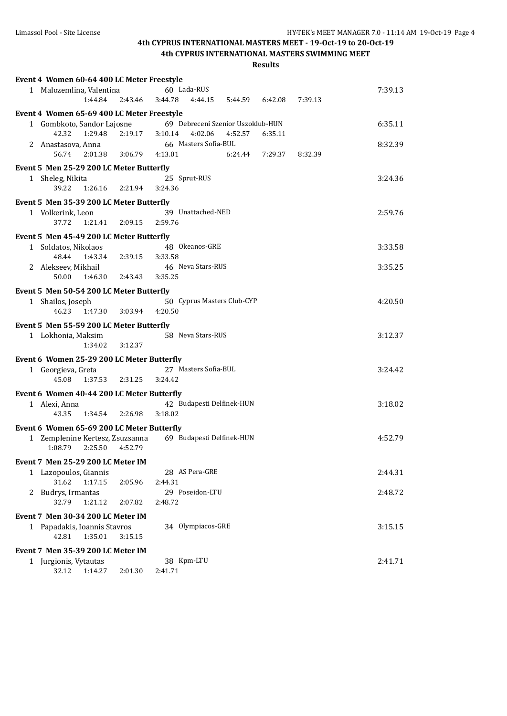| Event 4 Women 60-64 400 LC Meter Freestyle |         |         |                                   |         |         |         |         |
|--------------------------------------------|---------|---------|-----------------------------------|---------|---------|---------|---------|
| 1 Malozemlina, Valentina                   |         |         | 60 Lada-RUS                       |         |         |         | 7:39.13 |
| 1:44.84                                    | 2:43.46 | 3:44.78 | 4:44.15                           | 5:44.59 | 6:42.08 | 7:39.13 |         |
| Event 4 Women 65-69 400 LC Meter Freestyle |         |         |                                   |         |         |         |         |
| 1 Gombkoto, Sandor Lajosne                 |         |         | 69 Debreceni Szenior Uszoklub-HUN |         |         |         | 6:35.11 |
| 42.32<br>1:29.48                           | 2:19.17 | 3:10.14 | 4:02.06                           | 4:52.57 | 6:35.11 |         |         |
| 2 Anastasova, Anna                         |         |         | 66 Masters Sofia-BUL              |         |         |         | 8:32.39 |
| 56.74<br>2:01.38                           | 3:06.79 | 4:13.01 |                                   | 6:24.44 | 7:29.37 | 8:32.39 |         |
| Event 5 Men 25-29 200 LC Meter Butterfly   |         |         |                                   |         |         |         |         |
| 1 Sheleg, Nikita                           |         |         | 25 Sprut-RUS                      |         |         |         | 3:24.36 |
| 39.22<br>1:26.16                           | 2:21.94 | 3:24.36 |                                   |         |         |         |         |
| Event 5 Men 35-39 200 LC Meter Butterfly   |         |         |                                   |         |         |         |         |
| 1 Volkerink, Leon                          |         |         | 39 Unattached-NED                 |         |         |         | 2:59.76 |
| 37.72<br>1:21.41                           | 2:09.15 | 2:59.76 |                                   |         |         |         |         |
|                                            |         |         |                                   |         |         |         |         |
| Event 5 Men 45-49 200 LC Meter Butterfly   |         |         |                                   |         |         |         |         |
| 1 Soldatos, Nikolaos<br>48.44              |         |         | 48 Okeanos-GRE                    |         |         |         | 3:33.58 |
| 1:43.34                                    | 2:39.15 | 3:33.58 | 46 Neva Stars-RUS                 |         |         |         | 3:35.25 |
| 2 Alekseev, Mikhail<br>50.00<br>1:46.30    | 2:43.43 | 3:35.25 |                                   |         |         |         |         |
|                                            |         |         |                                   |         |         |         |         |
| Event 5 Men 50-54 200 LC Meter Butterfly   |         |         |                                   |         |         |         |         |
| 1 Shailos, Joseph                          |         |         | 50 Cyprus Masters Club-CYP        |         |         |         | 4:20.50 |
| 46.23<br>1:47.30                           | 3:03.94 | 4:20.50 |                                   |         |         |         |         |
| Event 5 Men 55-59 200 LC Meter Butterfly   |         |         |                                   |         |         |         |         |
| 1 Lokhonia, Maksim                         |         |         | 58 Neva Stars-RUS                 |         |         |         | 3:12.37 |
| 1:34.02                                    | 3:12.37 |         |                                   |         |         |         |         |
| Event 6 Women 25-29 200 LC Meter Butterfly |         |         |                                   |         |         |         |         |
| 1 Georgieva, Greta                         |         |         | 27 Masters Sofia-BUL              |         |         |         | 3:24.42 |
| 45.08<br>1:37.53                           | 2:31.25 | 3:24.42 |                                   |         |         |         |         |
| Event 6 Women 40-44 200 LC Meter Butterfly |         |         |                                   |         |         |         |         |
| 1 Alexi, Anna                              |         |         | 42 Budapesti Delfinek-HUN         |         |         |         | 3:18.02 |
| 43.35<br>1:34.54                           | 2:26.98 | 3:18.02 |                                   |         |         |         |         |
| Event 6 Women 65-69 200 LC Meter Butterfly |         |         |                                   |         |         |         |         |
| 1 Zemplenine Kertesz, Zsuzsanna            |         |         | 69 Budapesti Delfinek-HUN         |         |         |         | 4:52.79 |
| 1:08.79<br>2:25.50                         | 4:52.79 |         |                                   |         |         |         |         |
| Event 7 Men 25-29 200 LC Meter IM          |         |         |                                   |         |         |         |         |
| 1 Lazopoulos, Giannis                      |         |         | 28 AS Pera-GRE                    |         |         |         | 2:44.31 |
| 31.62<br>1:17.15                           | 2:05.96 | 2:44.31 |                                   |         |         |         |         |
| 2 Budrys, Irmantas                         |         |         | 29 Poseidon-LTU                   |         |         |         | 2:48.72 |
| 32.79<br>1:21.12                           | 2:07.82 | 2:48.72 |                                   |         |         |         |         |
| Event 7 Men 30-34 200 LC Meter IM          |         |         |                                   |         |         |         |         |
| 1 Papadakis, Ioannis Stavros               |         |         | 34 Olympiacos-GRE                 |         |         |         | 3:15.15 |
| 42.81<br>1:35.01                           | 3:15.15 |         |                                   |         |         |         |         |
|                                            |         |         |                                   |         |         |         |         |
| Event 7 Men 35-39 200 LC Meter IM          |         |         | 38 Kpm-LTU                        |         |         |         | 2:41.71 |
| 1 Jurgionis, Vytautas<br>32.12<br>1:14.27  | 2:01.30 | 2:41.71 |                                   |         |         |         |         |
|                                            |         |         |                                   |         |         |         |         |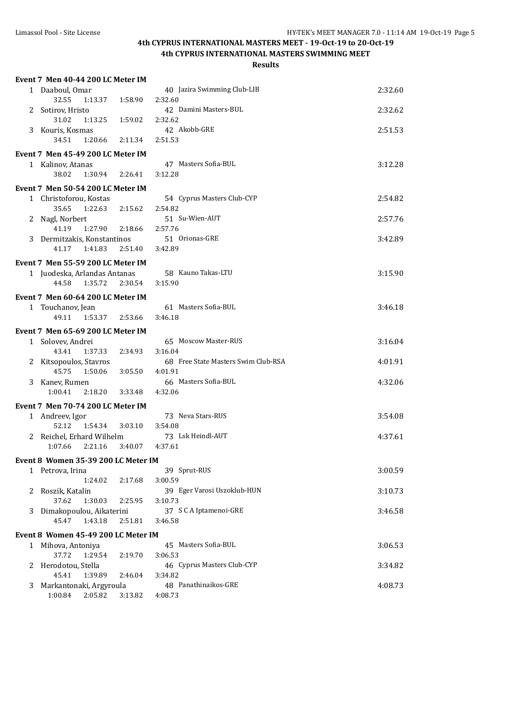# **4th CYPRUS INTERNATIONAL MASTERS MEET - 19-Oct-19 to 20-Oct-19**

**4th CYPRUS INTERNATIONAL MASTERS SWIMMING MEET**

|   | Event 7 Men 40-44 200 LC Meter IM            |         |                                       |         |
|---|----------------------------------------------|---------|---------------------------------------|---------|
|   | 1 Daaboul. Omar                              |         | 40 Jazira Swimming Club-LIB           | 2:32.60 |
|   | 32.55<br>1:13.37                             | 1:58.90 | 2:32.60                               |         |
|   | 2 Sotirov, Hristo                            |         | 42 Damini Masters-BUL                 | 2:32.62 |
|   | 31.02<br>1:13.25                             | 1:59.02 | 2:32.62                               |         |
|   | 3 Kouris, Kosmas                             |         | 42 Akobb-GRE                          | 2:51.53 |
|   | 34.51<br>1:20.66                             | 2:11.34 | 2:51.53                               |         |
|   | Event 7 Men 45-49 200 LC Meter IM            |         |                                       |         |
|   | 1 Kalinov, Atanas                            |         | 47 Masters Sofia-BUL                  | 3:12.28 |
|   | 38.02<br>1:30.94                             | 2:26.41 | 3:12.28                               |         |
|   | Event 7 Men 50-54 200 LC Meter IM            |         |                                       |         |
|   | 1 Christoforou, Kostas                       |         | 54 Cyprus Masters Club-CYP            | 2:54.82 |
|   | 35.65<br>1:22.63                             | 2:15.62 | 2:54.82                               |         |
|   | 2 Nagl, Norbert                              |         | 51 Su-Wien-AUT                        | 2:57.76 |
|   | 41.19<br>1:27.90                             | 2:18.66 | 2:57.76                               |         |
|   | 3 Dermitzakis, Konstantinos                  |         | 51 Orionas-GRE                        | 3:42.89 |
|   | 41.17<br>1:41.83                             | 2:51.40 | 3:42.89                               |         |
|   | Event 7 Men 55-59 200 LC Meter IM            |         |                                       |         |
|   | 1 Juodeska, Arlandas Antanas                 |         | 58 Kauno Takas-LTU                    | 3:15.90 |
|   | 44.58<br>1:35.72                             | 2:30.54 | 3:15.90                               |         |
|   | Event 7 Men 60-64 200 LC Meter IM            |         |                                       |         |
|   | 1 Touchanov, Jean                            |         | 61 Masters Sofia-BUL                  | 3:46.18 |
|   | 49.11 1:53.37                                | 2:53.66 | 3:46.18                               |         |
|   | Event 7 Men 65-69 200 LC Meter IM            |         |                                       |         |
|   | 1 Solovev, Andrei                            |         | 65 Moscow Master-RUS                  | 3:16.04 |
|   | 1:37.33<br>43.41                             | 2:34.93 | 3:16.04                               |         |
|   | 2 Kitsopoulos, Stavros                       |         | 68 Free State Masters Swim Club-RSA   | 4:01.91 |
|   | 45.75<br>1:50.06                             | 3:05.50 | 4:01.91                               |         |
|   | 3 Kanev, Rumen                               |         | 66 Masters Sofia-BUL                  | 4:32.06 |
|   | 1:00.41<br>2:18.20                           | 3:33.48 | 4:32.06                               |         |
|   | Event 7 Men 70-74 200 LC Meter IM            |         |                                       |         |
|   | 1 Andreev, Igor                              |         | 73 Neva Stars-RUS                     | 3:54.08 |
|   | 52.12<br>1:54.34                             | 3:03.10 | 3:54.08                               |         |
|   | 2 Reichel, Erhard Wilhelm                    |         | 73 Lsk Heindl-AUT                     | 4:37.61 |
|   | 1:07.66<br>2:21.16                           | 3:40.07 | 4:37.61                               |         |
|   | Event 8 Women 35-39 200 LC Meter IM          |         |                                       |         |
|   | 1 Petrova, Irina                             |         | 39 Sprut-RUS                          | 3:00.59 |
|   | 1:24.02                                      | 2:17.68 | 3:00.59                               |         |
| 2 | Roszik, Katalin                              |         | 39 Eger Varosi Uszoklub-HUN           | 3:10.73 |
|   | 37.62<br>1:30.03                             | 2:25.95 | 3:10.73                               |         |
| 3 | Dimakopoulou, Aikaterini<br>45.47<br>1:43.18 |         | 37 S C A Iptamenoi-GRE<br>3:46.58     | 3:46.58 |
|   |                                              | 2:51.81 |                                       |         |
|   | Event 8 Women 45-49 200 LC Meter IM          |         |                                       |         |
|   | 1 Mihova, Antoniya                           |         | 45 Masters Sofia-BUL                  | 3:06.53 |
|   | 37.72<br>1:29.54                             | 2:19.70 | 3:06.53                               |         |
| 2 | Herodotou, Stella<br>45.41<br>1:39.89        |         | 46 Cyprus Masters Club-CYP<br>3:34.82 | 3:34.82 |
| 3 | Markantonaki, Argyroula                      | 2:46.04 | 48 Panathinaikos-GRE                  | 4:08.73 |
|   | 1:00.84<br>2:05.82                           | 3:13.82 | 4:08.73                               |         |
|   |                                              |         |                                       |         |